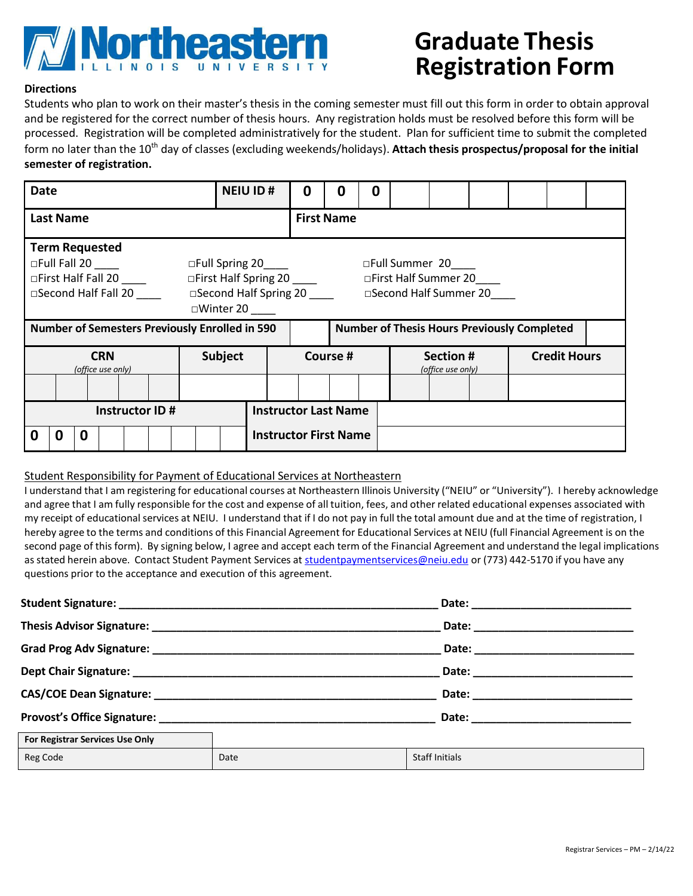

# **Graduate Thesis Registration Form**

## **Directions**

Students who plan to work on their master's thesis in the coming semester must fill out this form in order to obtain approval and be registered for the correct number of thesis hours. Any registration holds must be resolved before this form will be processed. Registration will be completed administratively for the student. Plan for sufficient time to submit the completed form no later than the 10<sup>th</sup> day of classes (excluding weekends/holidays). Attach thesis prospectus/proposal for the initial **semester of registration.**

| <b>Date</b>                                                                                                                                                                                                                                                                        | <b>NEIU ID#</b>              | 0 | O                 | O |  |                                |  |  |                     |  |
|------------------------------------------------------------------------------------------------------------------------------------------------------------------------------------------------------------------------------------------------------------------------------------|------------------------------|---|-------------------|---|--|--------------------------------|--|--|---------------------|--|
| <b>Last Name</b>                                                                                                                                                                                                                                                                   |                              |   | <b>First Name</b> |   |  |                                |  |  |                     |  |
| <b>Term Requested</b><br>$\Box$ Full Fall 20 $\Box$<br>□Full Spring 20____<br>□Full Summer 20<br>□First Half Spring 20 _____<br>□First Half Fall 20<br>□First Half Summer 20<br>□Second Half Fall 20 ____<br>□Second Half Spring 20 □ Second Half Summer 20<br>$\square$ Winter 20 |                              |   |                   |   |  |                                |  |  |                     |  |
| <b>Number of Semesters Previously Enrolled in 590</b><br><b>Number of Thesis Hours Previously Completed</b>                                                                                                                                                                        |                              |   |                   |   |  |                                |  |  |                     |  |
| <b>CRN</b><br>(office use only)                                                                                                                                                                                                                                                    | <b>Subject</b>               |   | Course #          |   |  | Section #<br>(office use only) |  |  | <b>Credit Hours</b> |  |
|                                                                                                                                                                                                                                                                                    |                              |   |                   |   |  |                                |  |  |                     |  |
| <b>Instructor Last Name</b><br>Instructor ID#                                                                                                                                                                                                                                      |                              |   |                   |   |  |                                |  |  |                     |  |
| 0<br>0<br>0                                                                                                                                                                                                                                                                        | <b>Instructor First Name</b> |   |                   |   |  |                                |  |  |                     |  |

### Student Responsibility for Payment of Educational Services at Northeastern

I understand that I am registering for educational courses at Northeastern Illinois University ("NEIU" or "University"). I hereby acknowledge and agree that I am fully responsible for the cost and expense of all tuition, fees, and other related educational expenses associated with my receipt of educationalservices at NEIU. I understand that if I do not pay in full the total amount due and at the time of registration, I hereby agree to the terms and conditions of this Financial Agreement for Educational Services at NEIU (full Financial Agreement is on the second page of this form). By signing below, I agree and accept each term of the Financial Agreement and understand the legal implications as stated herein above. Contact Student Payment Services at [studentpaymentservices@neiu.edu](mailto:studentpaymentservices@neiu.edu) or (773) 442-5170 if you have any questions prior to the acceptance and execution of this agreement.

|                                 |      | Date: _________________________ |
|---------------------------------|------|---------------------------------|
| For Registrar Services Use Only |      |                                 |
| Reg Code                        | Date | <b>Staff Initials</b>           |